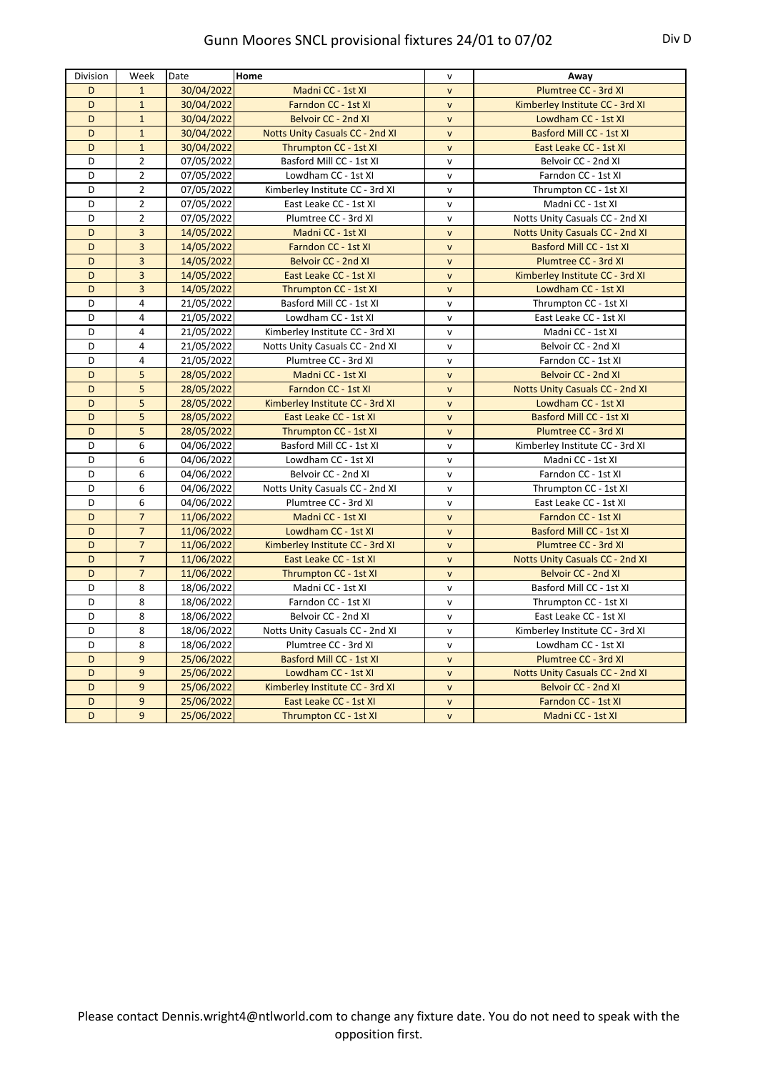| Division | Week           | Date       | Home                                   | $\mathsf{v}$ | Away                                   |
|----------|----------------|------------|----------------------------------------|--------------|----------------------------------------|
| D        | $\mathbf{1}$   | 30/04/2022 | Madni CC - 1st XI                      | $\mathsf{v}$ | Plumtree CC - 3rd XI                   |
| D        | $\mathbf 1$    | 30/04/2022 | Farndon CC - 1st XI                    | $\mathsf{v}$ | Kimberley Institute CC - 3rd XI        |
| D        | $\mathbf{1}$   | 30/04/2022 | <b>Belvoir CC - 2nd XI</b>             | $\mathsf{v}$ | Lowdham CC - 1st XI                    |
| D        | $\mathbf 1$    | 30/04/2022 | <b>Notts Unity Casuals CC - 2nd XI</b> | $\mathsf{v}$ | Basford Mill CC - 1st XI               |
| D        | $\mathbf{1}$   | 30/04/2022 | Thrumpton CC - 1st XI                  | $\mathsf{v}$ | East Leake CC - 1st XI                 |
| D        | $\overline{2}$ | 07/05/2022 | Basford Mill CC - 1st XI               | $\mathsf{v}$ | Belvoir CC - 2nd XI                    |
| D        | $\overline{2}$ | 07/05/2022 | Lowdham CC - 1st XI                    | $\mathsf{v}$ | Farndon CC - 1st XI                    |
| D        | $\overline{2}$ | 07/05/2022 | Kimberley Institute CC - 3rd XI        | $\mathsf{v}$ | Thrumpton CC - 1st XI                  |
| D        | $\overline{2}$ | 07/05/2022 | East Leake CC - 1st XI                 | $\mathsf{v}$ | Madni CC - 1st XI                      |
| D        | $\overline{2}$ | 07/05/2022 | Plumtree CC - 3rd XI                   | $\mathsf{v}$ | Notts Unity Casuals CC - 2nd XI        |
| D        | 3              | 14/05/2022 | Madni CC - 1st XI                      | $\mathsf{v}$ | <b>Notts Unity Casuals CC - 2nd XI</b> |
| D        | 3              | 14/05/2022 | Farndon CC - 1st XI                    | $\mathsf{v}$ | Basford Mill CC - 1st XI               |
| D        | 3              | 14/05/2022 | <b>Belvoir CC - 2nd XI</b>             | $\mathsf{v}$ | Plumtree CC - 3rd XI                   |
| D        | 3              | 14/05/2022 | East Leake CC - 1st XI                 | $\mathsf{v}$ | Kimberley Institute CC - 3rd XI        |
| D        | 3              | 14/05/2022 | Thrumpton CC - 1st XI                  | $\mathsf{v}$ | Lowdham CC - 1st XI                    |
| D        | 4              | 21/05/2022 | Basford Mill CC - 1st XI               | $\mathsf{v}$ | Thrumpton CC - 1st XI                  |
| D        | 4              | 21/05/2022 | Lowdham CC - 1st XI                    | $\mathsf{v}$ | East Leake CC - 1st XI                 |
| D        | 4              | 21/05/2022 | Kimberley Institute CC - 3rd XI        | $\mathsf{v}$ | Madni CC - 1st XI                      |
| D        | 4              | 21/05/2022 | Notts Unity Casuals CC - 2nd XI        | $\mathsf{v}$ | Belvoir CC - 2nd XI                    |
| D        | 4              | 21/05/2022 | Plumtree CC - 3rd XI                   | $\mathsf{v}$ | Farndon CC - 1st XI                    |
| D        | 5              | 28/05/2022 | Madni CC - 1st XI                      | $\mathsf{v}$ | Belvoir CC - 2nd XI                    |
| D        | 5              | 28/05/2022 | Farndon CC - 1st XI                    | $\mathsf{v}$ | <b>Notts Unity Casuals CC - 2nd XI</b> |
| D        | 5              | 28/05/2022 | Kimberley Institute CC - 3rd XI        | $\mathsf{v}$ | Lowdham CC - 1st XI                    |
| D        | 5              | 28/05/2022 | East Leake CC - 1st XI                 | $\mathsf{v}$ | Basford Mill CC - 1st XI               |
| D        | 5              | 28/05/2022 | Thrumpton CC - 1st XI                  | $\mathsf{v}$ | Plumtree CC - 3rd XI                   |
| D        | 6              | 04/06/2022 | Basford Mill CC - 1st XI               | $\mathsf{v}$ | Kimberley Institute CC - 3rd XI        |
| D        | 6              | 04/06/2022 | Lowdham CC - 1st XI                    | $\mathsf{v}$ | Madni CC - 1st XI                      |
| D        | 6              | 04/06/2022 | Belvoir CC - 2nd XI                    | $\mathsf{v}$ | Farndon CC - 1st XI                    |
| D        | 6              | 04/06/2022 | Notts Unity Casuals CC - 2nd XI        | $\mathsf{v}$ | Thrumpton CC - 1st XI                  |
| D        | 6              | 04/06/2022 | Plumtree CC - 3rd XI                   | $\mathsf{v}$ | East Leake CC - 1st XI                 |
| D        | $\overline{7}$ | 11/06/2022 | Madni CC - 1st XI                      | $\mathsf{v}$ | Farndon CC - 1st XI                    |
| D        | $\overline{7}$ | 11/06/2022 | Lowdham CC - 1st XI                    | $\mathsf{v}$ | Basford Mill CC - 1st XI               |
| D        | $\overline{7}$ | 11/06/2022 | Kimberley Institute CC - 3rd XI        | $\mathsf{v}$ | Plumtree CC - 3rd XI                   |
| D        | $\overline{7}$ | 11/06/2022 | East Leake CC - 1st XI                 | $\mathsf{v}$ | <b>Notts Unity Casuals CC - 2nd XI</b> |
| D        | $\overline{7}$ | 11/06/2022 | Thrumpton CC - 1st XI                  | $\mathsf{v}$ | Belvoir CC - 2nd XI                    |
| D        | 8              | 18/06/2022 | Madni CC - 1st XI                      | $\mathsf{v}$ | Basford Mill CC - 1st XI               |
| D        | 8              | 18/06/2022 | Farndon CC - 1st XI                    | $\mathsf{v}$ | Thrumpton CC - 1st XI                  |
| D        | 8              | 18/06/2022 | Belvoir CC - 2nd XI                    | $\mathsf{v}$ | East Leake CC - 1st XI                 |
| D        | 8              | 18/06/2022 | Notts Unity Casuals CC - 2nd XI        | $\mathsf{v}$ | Kimberley Institute CC - 3rd XI        |
| D        | 8              | 18/06/2022 | Plumtree CC - 3rd XI                   | $\mathsf{v}$ | Lowdham CC - 1st XI                    |
| D        | 9              | 25/06/2022 | <b>Basford Mill CC - 1st XI</b>        | $\mathsf{v}$ | Plumtree CC - 3rd XI                   |
| D        | 9              | 25/06/2022 | Lowdham CC - 1st XI                    | $\mathsf{v}$ | <b>Notts Unity Casuals CC - 2nd XI</b> |
| D        | 9              | 25/06/2022 | Kimberley Institute CC - 3rd XI        | $\mathsf{v}$ | <b>Belvoir CC - 2nd XI</b>             |
| D        | 9              | 25/06/2022 | East Leake CC - 1st XI                 | $\mathsf{v}$ | Farndon CC - 1st XI                    |
| D        | 9              | 25/06/2022 | Thrumpton CC - 1st XI                  | $\mathsf{v}$ | Madni CC - 1st XI                      |